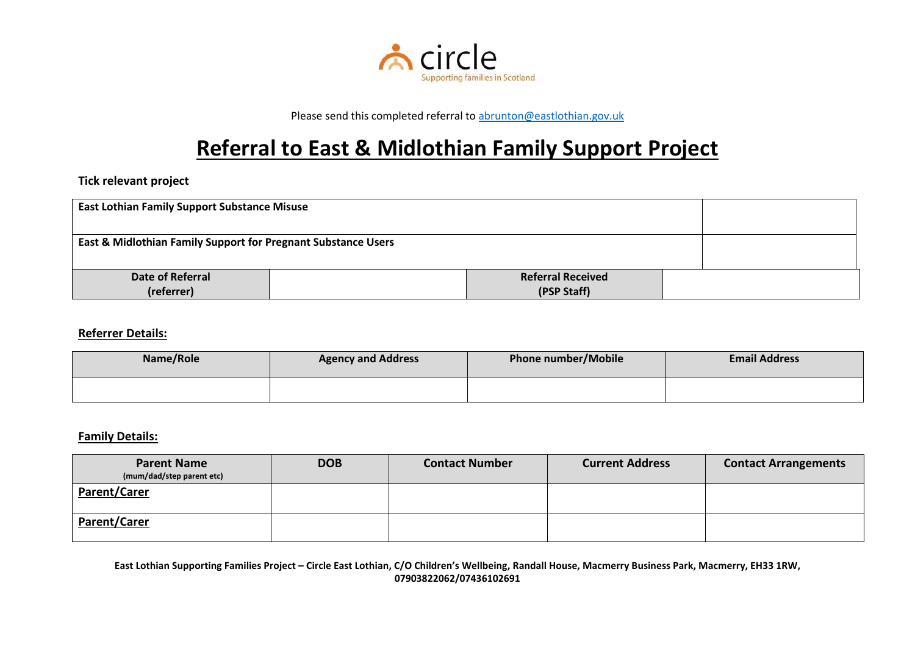

Please send this completed referral to [abrunton@eastlothian.gov.uk](mailto:abrunton@eastlothian.gov.uk)

# **Referral to East & Midlothian Family Support Project**

## **Tick relevant project**

| <b>East Lothian Family Support Substance Misuse</b>           |  |                                         |  |
|---------------------------------------------------------------|--|-----------------------------------------|--|
| East & Midlothian Family Support for Pregnant Substance Users |  |                                         |  |
| Date of Referral<br>(referrer)                                |  | <b>Referral Received</b><br>(PSP Staff) |  |

#### **Referrer Details:**

| Name/Role | <b>Agency and Address</b> | Phone number/Mobile | <b>Email Address</b> |
|-----------|---------------------------|---------------------|----------------------|
|           |                           |                     |                      |

#### **Family Details:**

| <b>Parent Name</b><br>(mum/dad/step parent etc) | <b>DOB</b> | <b>Contact Number</b> | <b>Current Address</b> | <b>Contact Arrangements</b> |
|-------------------------------------------------|------------|-----------------------|------------------------|-----------------------------|
| <b>Parent/Carer</b>                             |            |                       |                        |                             |
| <b>Parent/Carer</b>                             |            |                       |                        |                             |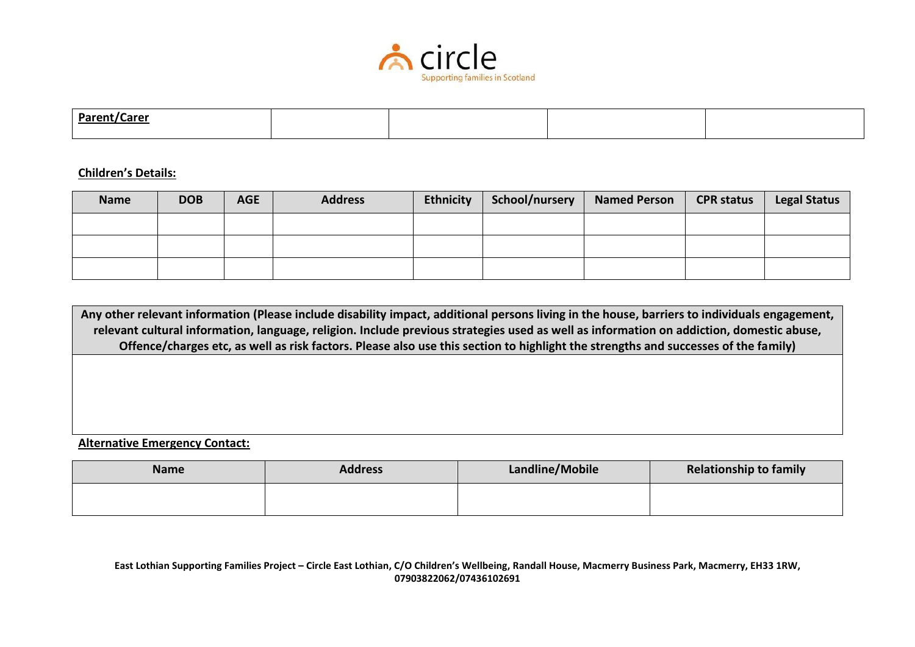

| <b>Parent/Carer</b> |  |  |
|---------------------|--|--|
|                     |  |  |
|                     |  |  |

#### **Children's Details:**

| <b>Name</b> | <b>DOB</b> | <b>AGE</b> | <b>Address</b> | <b>Ethnicity</b> | School/nursery | <b>Named Person</b> | <b>CPR status</b> | <b>Legal Status</b> |
|-------------|------------|------------|----------------|------------------|----------------|---------------------|-------------------|---------------------|
|             |            |            |                |                  |                |                     |                   |                     |
|             |            |            |                |                  |                |                     |                   |                     |
|             |            |            |                |                  |                |                     |                   |                     |

**Any other relevant information (Please include disability impact, additional persons living in the house, barriers to individuals engagement, relevant cultural information, language, religion. Include previous strategies used as well as information on addiction, domestic abuse, Offence/charges etc, as well as risk factors. Please also use this section to highlight the strengths and successes of the family)**

**Alternative Emergency Contact:**

| <b>Name</b> | <b>Address</b> | Landline/Mobile | <b>Relationship to family</b> |
|-------------|----------------|-----------------|-------------------------------|
|             |                |                 |                               |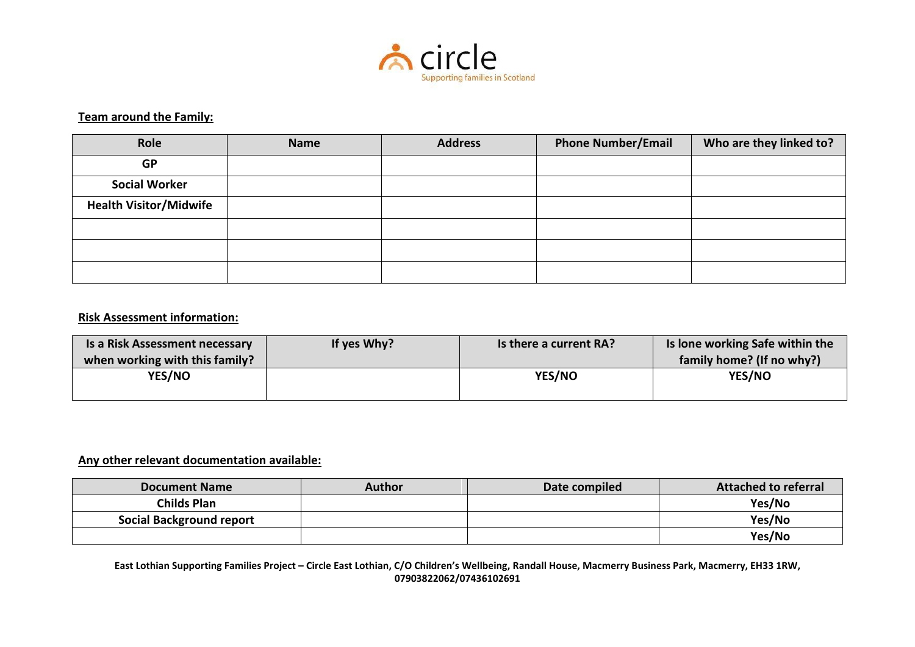

## **Team around the Family:**

| Role                          | <b>Name</b> | <b>Address</b> | <b>Phone Number/Email</b> | Who are they linked to? |
|-------------------------------|-------------|----------------|---------------------------|-------------------------|
| <b>GP</b>                     |             |                |                           |                         |
| <b>Social Worker</b>          |             |                |                           |                         |
| <b>Health Visitor/Midwife</b> |             |                |                           |                         |
|                               |             |                |                           |                         |
|                               |             |                |                           |                         |
|                               |             |                |                           |                         |

## **Risk Assessment information:**

| Is a Risk Assessment necessary | If yes Why? | Is there a current RA? | Is lone working Safe within the |
|--------------------------------|-------------|------------------------|---------------------------------|
| when working with this family? |             |                        | family home? (If no why?)       |
| <b>YES/NO</b>                  |             | YES/NO                 | YES/NO                          |
|                                |             |                        |                                 |

#### **Any other relevant documentation available:**

| <b>Document Name</b>            | Author | Date compiled | <b>Attached to referral</b> |
|---------------------------------|--------|---------------|-----------------------------|
| <b>Childs Plan</b>              |        |               | Yes/No                      |
| <b>Social Background report</b> |        |               | Yes/No                      |
|                                 |        |               | Yes/No                      |